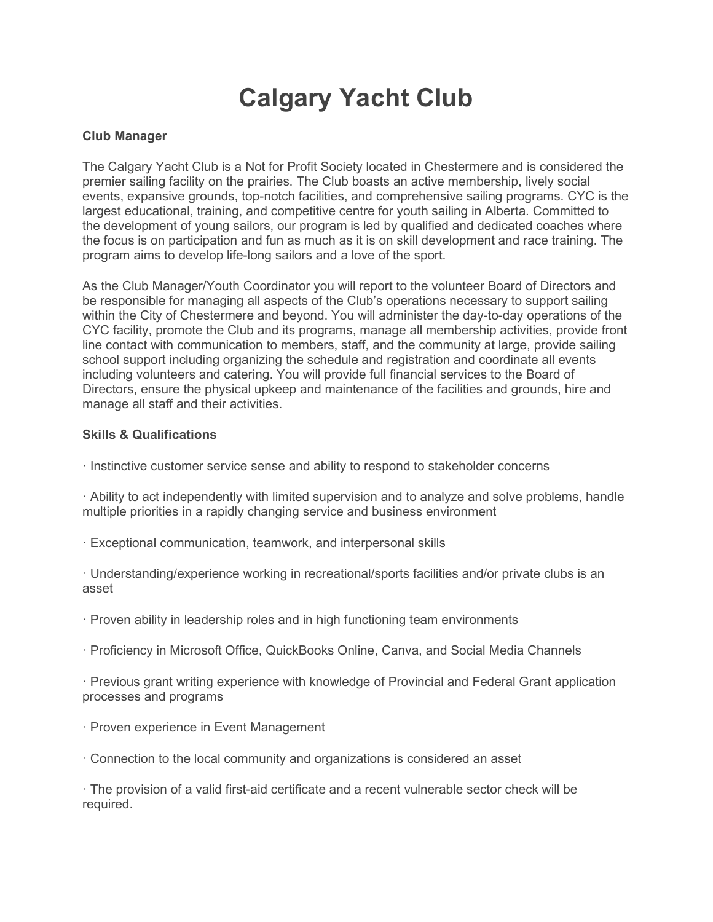## Calgary Yacht Club

## Club Manager

The Calgary Yacht Club is a Not for Profit Society located in Chestermere and is considered the premier sailing facility on the prairies. The Club boasts an active membership, lively social events, expansive grounds, top-notch facilities, and comprehensive sailing programs. CYC is the largest educational, training, and competitive centre for youth sailing in Alberta. Committed to the development of young sailors, our program is led by qualified and dedicated coaches where the focus is on participation and fun as much as it is on skill development and race training. The program aims to develop life-long sailors and a love of the sport.

As the Club Manager/Youth Coordinator you will report to the volunteer Board of Directors and be responsible for managing all aspects of the Club's operations necessary to support sailing within the City of Chestermere and beyond. You will administer the day-to-day operations of the CYC facility, promote the Club and its programs, manage all membership activities, provide front line contact with communication to members, staff, and the community at large, provide sailing school support including organizing the schedule and registration and coordinate all events including volunteers and catering. You will provide full financial services to the Board of Directors, ensure the physical upkeep and maintenance of the facilities and grounds, hire and manage all staff and their activities.

## Skills & Qualifications

· Instinctive customer service sense and ability to respond to stakeholder concerns

· Ability to act independently with limited supervision and to analyze and solve problems, handle multiple priorities in a rapidly changing service and business environment

- · Exceptional communication, teamwork, and interpersonal skills
- · Understanding/experience working in recreational/sports facilities and/or private clubs is an asset
- · Proven ability in leadership roles and in high functioning team environments
- · Proficiency in Microsoft Office, QuickBooks Online, Canva, and Social Media Channels

· Previous grant writing experience with knowledge of Provincial and Federal Grant application processes and programs

- · Proven experience in Event Management
- · Connection to the local community and organizations is considered an asset

· The provision of a valid first-aid certificate and a recent vulnerable sector check will be required.